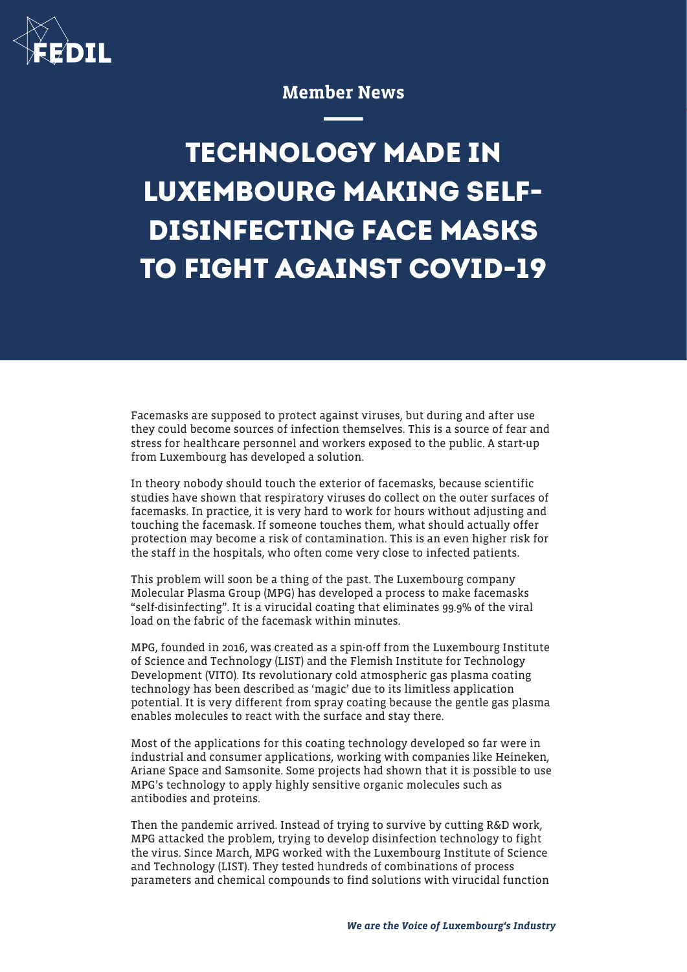

## Member News

## **TECHNOLOGY MADE IN LUXEMBOURG MAKING SELF-DISINFECTING FACE MASKS TO FIGHT AGAINST COVID-19**

Facemasks are supposed to protect against viruses, but during and after use they could become sources of infection themselves. This is a source of fear and stress for healthcare personnel and workers exposed to the public. A start-up from Luxembourg has developed a solution.

In theory nobody should touch the exterior of facemasks, because scientific studies have shown that respiratory viruses do collect on the outer surfaces of facemasks. In practice, it is very hard to work for hours without adjusting and touching the facemask. If someone touches them, what should actually offer protection may become a risk of contamination. This is an even higher risk for the staff in the hospitals, who often come very close to infected patients.

This problem will soon be a thing of the past. The Luxembourg company Molecular Plasma Group (MPG) has developed a process to make facemasks "self-disinfecting". It is a virucidal coating that eliminates 99.9% of the viral load on the fabric of the facemask within minutes.

MPG, founded in 2016, was created as a spin-off from the Luxembourg Institute of Science and Technology (LIST) and the Flemish Institute for Technology Development (VITO). Its revolutionary cold atmospheric gas plasma coating technology has been described as 'magic' due to its limitless application potential. It is very different from spray coating because the gentle gas plasma enables molecules to react with the surface and stay there.

Most of the applications for this coating technology developed so far were in industrial and consumer applications, working with companies like Heineken, Ariane Space and Samsonite. Some projects had shown that it is possible to use MPG's technology to apply highly sensitive organic molecules such as antibodies and proteins.

Then the pandemic arrived. Instead of trying to survive by cutting R&D work, MPG attacked the problem, trying to develop disinfection technology to fight the virus. Since March, MPG worked with the Luxembourg Institute of Science and Technology (LIST). They tested hundreds of combinations of process parameters and chemical compounds to find solutions with virucidal function